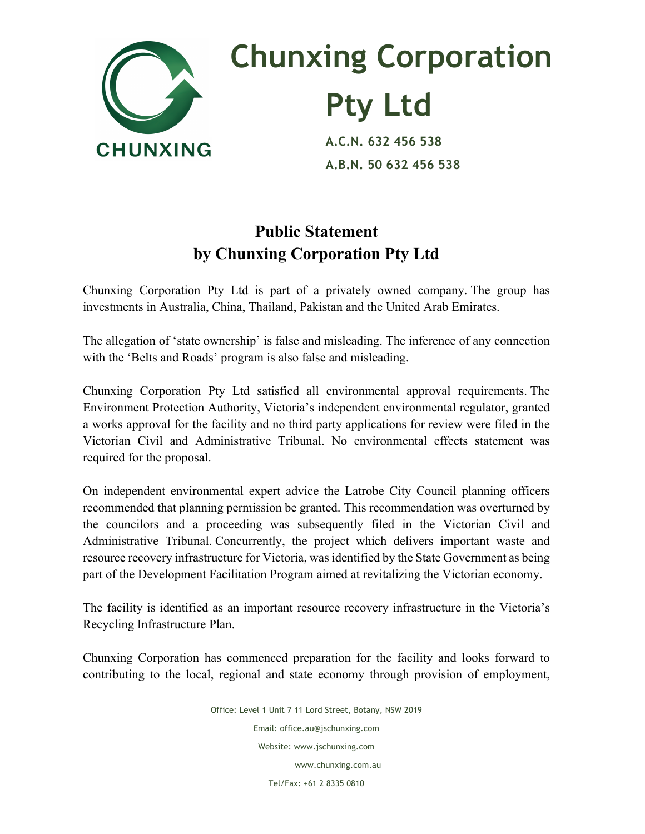

## **Chunxing Corporation Pty Ltd**<br>A.C.N. 632 456 538

 **A.B.N. 50 632 456 538**

## **Public Statement by Chunxing Corporation Pty Ltd**

Chunxing Corporation Pty Ltd is part of a privately owned company. The group has investments in Australia, China, Thailand, Pakistan and the United Arab Emirates.

The allegation of 'state ownership' is false and misleading. The inference of any connection with the 'Belts and Roads' program is also false and misleading.

Chunxing Corporation Pty Ltd satisfied all environmental approval requirements. The Environment Protection Authority, Victoria's independent environmental regulator, granted a works approval for the facility and no third party applications for review were filed in the Victorian Civil and Administrative Tribunal. No environmental effects statement was required for the proposal.

On independent environmental expert advice the Latrobe City Council planning officers recommended that planning permission be granted. This recommendation was overturned by the councilors and a proceeding was subsequently filed in the Victorian Civil and Administrative Tribunal. Concurrently, the project which delivers important waste and resource recovery infrastructure for Victoria, was identified by the State Government as being part of the Development Facilitation Program aimed at revitalizing the Victorian economy.

The facility is identified as an important resource recovery infrastructure in the Victoria's Recycling Infrastructure Plan.

Chunxing Corporation has commenced preparation for the facility and looks forward to contributing to the local, regional and state economy through provision of employment,

> Office: Level 1 Unit 7 11 Lord Street, Botany, NSW 2019 Email: office.au@jschunxing.com Website: www.jschunxing.com www.chunxing.com.au Tel/Fax: +61 2 8335 0810